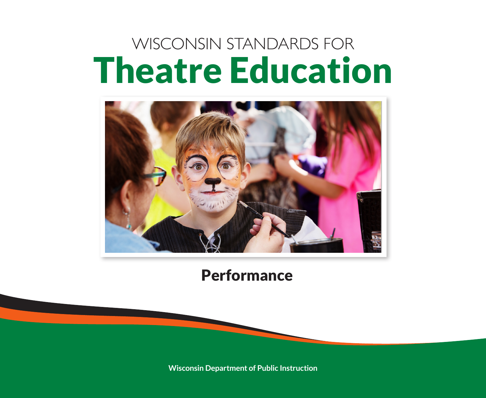# WISCONSIN STANDARDS FOR Theatre Education



## **Performance**

**Wisconsin Department of Public Instruction**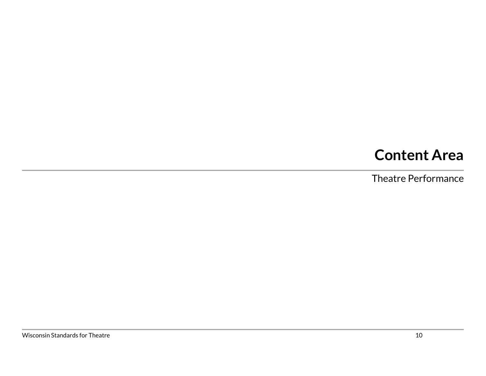## **Content Area**

Theatre Performance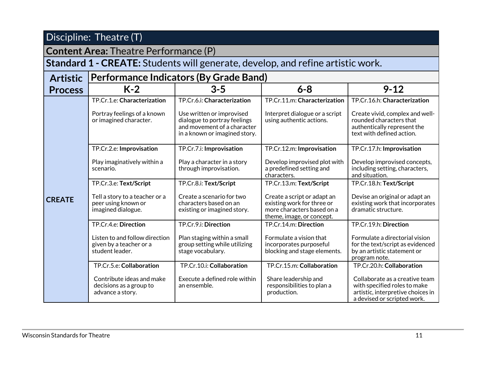#### **Content Area:** Theatre Performance (P)

#### **Standard 1 - CREATE:** Students will generate, develop, and refine artistic work.

| <b>Artistic</b> | <b>Performance Indicators (By Grade Band)</b>                                |                                                                                                                           |                                                                                                                      |                                                                                                                                    |  |
|-----------------|------------------------------------------------------------------------------|---------------------------------------------------------------------------------------------------------------------------|----------------------------------------------------------------------------------------------------------------------|------------------------------------------------------------------------------------------------------------------------------------|--|
| <b>Process</b>  | $K-2$                                                                        | $3 - 5$                                                                                                                   | $6 - 8$                                                                                                              | $9 - 12$                                                                                                                           |  |
|                 | TP.Cr.1.e: Characterization                                                  | TP.Cr.6.i: Characterization                                                                                               | TP.Cr.11.m: Characterization                                                                                         | TP.Cr.16.h: Characterization                                                                                                       |  |
|                 | Portray feelings of a known<br>or imagined character.                        | Use written or improvised<br>dialogue to portray feelings<br>and movement of a character<br>in a known or imagined story. | Interpret dialogue or a script<br>using authentic actions.                                                           | Create vivid, complex and well-<br>rounded characters that<br>authentically represent the<br>text with defined action.             |  |
|                 | TP.Cr.2.e: Improvisation                                                     | TP.Cr.7.i: Improvisation                                                                                                  | TP.Cr.12.m: Improvisation                                                                                            | TP.Cr.17.h: Improvisation                                                                                                          |  |
|                 | Play imaginatively within a<br>scenario.                                     | Play a character in a story<br>through improvisation.                                                                     | Develop improvised plot with<br>a predefined setting and<br>characters.                                              | Develop improvised concepts,<br>including setting, characters,<br>and situation.                                                   |  |
|                 | TP.Cr.3.e: Text/Script                                                       | TP.Cr.8.i: Text/Script                                                                                                    | TP.Cr.13.m: Text/Script                                                                                              | TP.Cr.18.h: Text/Script                                                                                                            |  |
| <b>CREATE</b>   | Tell a story to a teacher or a<br>peer using known or<br>imagined dialogue.  | Create a scenario for two<br>characters based on an<br>existing or imagined story.                                        | Create a script or adapt an<br>existing work for three or<br>more characters based on a<br>theme, image, or concept. | Devise an original or adapt an<br>existing work that incorporates<br>dramatic structure.                                           |  |
|                 | TP.Cr.4.e: Direction                                                         | TP.Cr.9.i: Direction                                                                                                      | TP.Cr.14.m: Direction                                                                                                | TP.Cr.19.h: Direction                                                                                                              |  |
|                 | Listen to and follow direction<br>given by a teacher or a<br>student leader. | Plan staging within a small<br>group setting while utilizing<br>stage vocabulary.                                         | Formulate a vision that<br>incorporates purposeful<br>blocking and stage elements.                                   | Formulate a directorial vision<br>for the text/script as evidenced<br>by an artistic statement or<br>program note.                 |  |
|                 | TP.Cr.5.e: Collaboration                                                     | TP.Cr.10.i: Collaboration                                                                                                 | TP.Cr.15.m: Collaboration                                                                                            | TP.Cr.20.h: Collaboration                                                                                                          |  |
|                 | Contribute ideas and make<br>decisions as a group to<br>advance a story.     | Execute a defined role within<br>an ensemble.                                                                             | Share leadership and<br>responsibilities to plan a<br>production.                                                    | Collaborate as a creative team<br>with specified roles to make<br>artistic, interpretive choices in<br>a devised or scripted work. |  |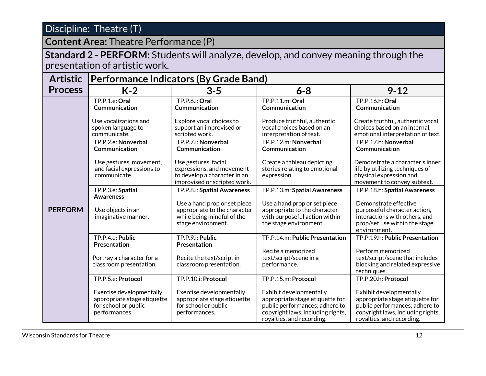**Content Area:** Theatre Performance (P)

**Standard 2 - PERFORM:** Students will analyze, develop, and convey meaning through the presentation of artistic work.

| <b>Artistic</b> | <b>Performance Indicators (By Grade Band)</b>                                                    |                                                                                                                   |                                                                                                                                                                |                                                                                                                                                                |  |
|-----------------|--------------------------------------------------------------------------------------------------|-------------------------------------------------------------------------------------------------------------------|----------------------------------------------------------------------------------------------------------------------------------------------------------------|----------------------------------------------------------------------------------------------------------------------------------------------------------------|--|
| <b>Process</b>  | $K-2$                                                                                            | $3 - 5$                                                                                                           | $6 - 8$                                                                                                                                                        | $9 - 12$                                                                                                                                                       |  |
| <b>PERFORM</b>  | TP.P.1.e: Oral<br>Communication                                                                  | TP.P.6.i: Oral<br>Communication                                                                                   | TP.P.11.m: Oral<br>Communication                                                                                                                               | TP.P.16.h: Oral<br>Communication                                                                                                                               |  |
|                 | Use vocalizations and<br>spoken language to<br>communicate.                                      | Explore vocal choices to<br>support an improvised or<br>scripted work.                                            | Produce truthful, authentic<br>vocal choices based on an<br>interpretation of text.                                                                            | Create truthful, authentic vocal<br>choices based on an internal,<br>emotional interpretation of text.                                                         |  |
|                 | TP.P.2.e: Nonverbal<br>Communication                                                             | TP.P.7.i: Nonverbal<br>Communication                                                                              | TP.P.12.m: Nonverbal<br>Communication                                                                                                                          | TP.P.17.h: Nonverbal<br>Communication                                                                                                                          |  |
|                 | Use gestures, movement,<br>and facial expressions to<br>communicate.                             | Use gestures, facial<br>expressions, and movement<br>to develop a character in an<br>improvised or scripted work. | Create a tableau depicting<br>stories relating to emotional<br>expression.                                                                                     | Demonstrate a character's inner<br>life by utilizing techniques of<br>physical expression and<br>movement to convey subtext.                                   |  |
|                 | TP.P.3.e: Spatial<br><b>Awareness</b>                                                            | TP.P.8.i: Spatial Awareness                                                                                       | TP.P.13.m: Spatial Awareness                                                                                                                                   | TP.P.18.h: Spatial Awareness                                                                                                                                   |  |
|                 | Use objects in an<br>imaginative manner.                                                         | Use a hand prop or set piece<br>appropriate to the character<br>while being mindful of the<br>stage environment.  | Use a hand prop or set piece<br>appropriate to the character<br>with purposeful action within<br>the stage environment.                                        | Demonstrate effective<br>purposeful character action,<br>interactions with others, and<br>prop/set use within the stage<br>environment.                        |  |
|                 | TP.P.4.e: Public<br>Presentation                                                                 | TP.P.9.i: Public<br>Presentation                                                                                  | TP.P.14.m: Public Presentation                                                                                                                                 | TP.P.19.h: Public Presentation                                                                                                                                 |  |
|                 | Portray a character for a<br>classroom presentation.                                             | Recite the text/script in<br>classroom presentation.                                                              | Recite a memorized<br>text/script/scene in a<br>performance.                                                                                                   | Perform memorized<br>text/script/scene that includes<br>blocking and related expressive<br>techniques.                                                         |  |
|                 | TP.P.5.e: Protocol                                                                               | TP.P.10.i: Protocol                                                                                               | TP.P.15.m: Protocol                                                                                                                                            | TP.P.20.h: Protocol                                                                                                                                            |  |
|                 | Exercise developmentally<br>appropriate stage etiquette<br>for school or public<br>performances. | Exercise developmentally<br>appropriate stage etiquette<br>for school or public<br>performances.                  | Exhibit developmentally<br>appropriate stage etiquette for<br>public performances; adhere to<br>copyright laws, including rights,<br>royalties, and recording. | Exhibit developmentally<br>appropriate stage etiquette for<br>public performances; adhere to<br>copyright laws, including rights,<br>royalties, and recording. |  |

wisconsin Standards for Theatre 12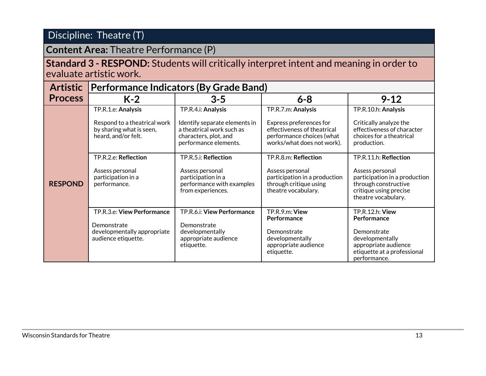#### **Content Area:** Theatre Performance (P)

#### **Standard 3 - RESPOND:** Students will critically interpret intent and meaning in order to evaluate artistic work.

| <b>Artistic</b> | Performance Indicators (By Grade Band)                                         |                                                                                         |                                                                                                   |                                                                                                                           |  |
|-----------------|--------------------------------------------------------------------------------|-----------------------------------------------------------------------------------------|---------------------------------------------------------------------------------------------------|---------------------------------------------------------------------------------------------------------------------------|--|
| <b>Process</b>  | $K-2$                                                                          | $3 - 5$                                                                                 | $6 - 8$                                                                                           | $9 - 12$                                                                                                                  |  |
|                 | TP.R.1.e: Analysis<br>Respond to a theatrical work<br>by sharing what is seen, | TP.R.4.i: Analysis<br>Identify separate elements in<br>a theatrical work such as        | TP.R.7.m: Analysis<br>Express preferences for<br>effectiveness of theatrical                      | TP.R.10.h: Analysis<br>Critically analyze the<br>effectiveness of character                                               |  |
|                 | heard, and/or felt.                                                            | characters, plot, and<br>performance elements.                                          | performance choices (what<br>works/what does not work).                                           | choices for a theatrical<br>production.                                                                                   |  |
|                 | TP.R.2.e: Reflection                                                           | TP.R.5.i: Reflection                                                                    | TP.R.8.m: Reflection                                                                              | TP.R.11.h: Reflection                                                                                                     |  |
| <b>RESPOND</b>  | Assess personal<br>participation in a<br>performance.                          | Assess personal<br>participation in a<br>performance with examples<br>from experiences. | Assess personal<br>participation in a production<br>through critique using<br>theatre vocabulary. | Assess personal<br>participation in a production<br>through constructive<br>critique using precise<br>theatre vocabulary. |  |
|                 | TP.R.3.e: View Performance                                                     | TP.R.6.i: View Performance                                                              | TP.R.9.m: View<br>Performance                                                                     | <b>TP.R.12.h: View</b><br>Performance                                                                                     |  |
|                 | Demonstrate                                                                    | Demonstrate                                                                             |                                                                                                   |                                                                                                                           |  |
|                 | developmentally appropriate<br>audience etiquette.                             | developmentally<br>appropriate audience                                                 | Demonstrate<br>developmentally                                                                    | Demonstrate<br>developmentally                                                                                            |  |
|                 |                                                                                | etiquette.                                                                              | appropriate audience                                                                              | appropriate audience                                                                                                      |  |
|                 |                                                                                |                                                                                         | etiquette.                                                                                        | etiquette at a professional<br>performance.                                                                               |  |